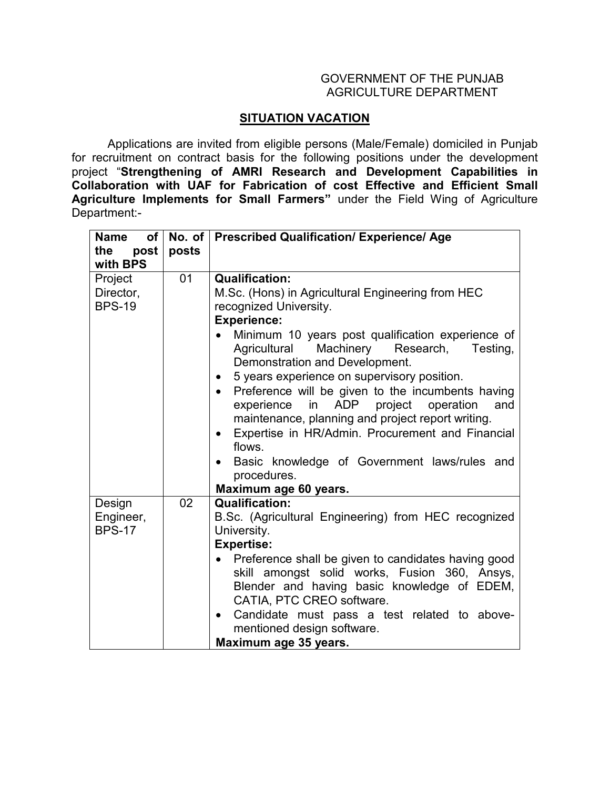## GOVERNMENT OF THE PUNJAB AGRICULTURE DEPARTMENT

## **SITUATION VACATION**

 Applications are invited from eligible persons (Male/Female) domiciled in Punjab for recruitment on contract basis for the following positions under the development project "**Strengthening of AMRI Research and Development Capabilities in Collaboration with UAF for Fabrication of cost Effective and Efficient Small Agriculture Implements for Small Farmers"** under the Field Wing of Agriculture Department:-

| <b>Name</b><br>of l | No. of $\vert$ | <b>Prescribed Qualification/ Experience/ Age</b>                                                                                                                                                                                                                                                                         |
|---------------------|----------------|--------------------------------------------------------------------------------------------------------------------------------------------------------------------------------------------------------------------------------------------------------------------------------------------------------------------------|
| post<br>the         | posts          |                                                                                                                                                                                                                                                                                                                          |
| with BPS            |                |                                                                                                                                                                                                                                                                                                                          |
| Project             | 01             | <b>Qualification:</b>                                                                                                                                                                                                                                                                                                    |
| Director,           |                | M.Sc. (Hons) in Agricultural Engineering from HEC                                                                                                                                                                                                                                                                        |
| <b>BPS-19</b>       |                | recognized University.                                                                                                                                                                                                                                                                                                   |
|                     |                | <b>Experience:</b>                                                                                                                                                                                                                                                                                                       |
|                     |                | Minimum 10 years post qualification experience of<br>Machinery<br>Agricultural<br>Research,<br>Testing,<br>Demonstration and Development.<br>5 years experience on supervisory position.<br>$\bullet$<br>Preference will be given to the incumbents having<br>$\bullet$<br>in ADP project operation<br>and<br>experience |
|                     |                | maintenance, planning and project report writing.                                                                                                                                                                                                                                                                        |
|                     |                | Expertise in HR/Admin. Procurement and Financial<br>$\bullet$<br>flows.                                                                                                                                                                                                                                                  |
|                     |                | Basic knowledge of Government laws/rules and<br>$\bullet$                                                                                                                                                                                                                                                                |
|                     |                | procedures.                                                                                                                                                                                                                                                                                                              |
|                     |                | Maximum age 60 years.                                                                                                                                                                                                                                                                                                    |
| Design              | 02             | <b>Qualification:</b>                                                                                                                                                                                                                                                                                                    |
| Engineer,           |                | B.Sc. (Agricultural Engineering) from HEC recognized                                                                                                                                                                                                                                                                     |
| <b>BPS-17</b>       |                | University.                                                                                                                                                                                                                                                                                                              |
|                     |                | <b>Expertise:</b>                                                                                                                                                                                                                                                                                                        |
|                     |                | Preference shall be given to candidates having good                                                                                                                                                                                                                                                                      |
|                     |                | skill amongst solid works, Fusion 360, Ansys,                                                                                                                                                                                                                                                                            |
|                     |                | Blender and having basic knowledge of EDEM,<br>CATIA, PTC CREO software.                                                                                                                                                                                                                                                 |
|                     |                | Candidate must pass a test related to above-<br>$\bullet$<br>mentioned design software.                                                                                                                                                                                                                                  |
|                     |                | Maximum age 35 years.                                                                                                                                                                                                                                                                                                    |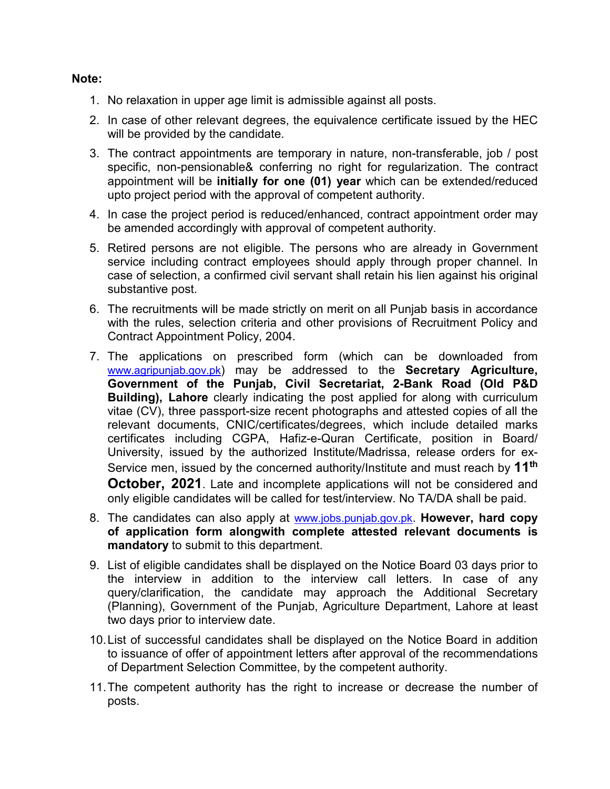## **Note:**

- 1. No relaxation in upper age limit is admissible against all posts.
- 2. In case of other relevant degrees, the equivalence certificate issued by the HEC will be provided by the candidate.
- 3. The contract appointments are temporary in nature, non-transferable, job / post specific, non-pensionable& conferring no right for regularization. The contract appointment will be **initially for one (01) year** which can be extended/reduced upto project period with the approval of competent authority.
- 4. In case the project period is reduced/enhanced, contract appointment order may be amended accordingly with approval of competent authority.
- 5. Retired persons are not eligible. The persons who are already in Government service including contract employees should apply through proper channel. In case of selection, a confirmed civil servant shall retain his lien against his original substantive post.
- 6. The recruitments will be made strictly on merit on all Punjab basis in accordance with the rules, selection criteria and other provisions of Recruitment Policy and Contract Appointment Policy, 2004.
- 7. The applications on prescribed form (which can be downloaded from www.agripunjab.gov.pk) may be addressed to the **Secretary Agriculture, Government of the Punjab, Civil Secretariat, 2-Bank Road (Old P&D Building), Lahore** clearly indicating the post applied for along with curriculum vitae (CV), three passport-size recent photographs and attested copies of all the relevant documents, CNIC/certificates/degrees, which include detailed marks certificates including CGPA, Hafiz-e-Quran Certificate, position in Board/ University, issued by the authorized Institute/Madrissa, release orders for ex-Service men, issued by the concerned authority/Institute and must reach by **11th October, 2021**. Late and incomplete applications will not be considered and only eligible candidates will be called for test/interview. No TA/DA shall be paid.
- 8. The candidates can also apply at www.jobs.punjab.gov.pk. **However, hard copy of application form alongwith complete attested relevant documents is mandatory** to submit to this department.
- 9. List of eligible candidates shall be displayed on the Notice Board 03 days prior to the interview in addition to the interview call letters. In case of any query/clarification, the candidate may approach the Additional Secretary (Planning), Government of the Punjab, Agriculture Department, Lahore at least two days prior to interview date.
- 10. List of successful candidates shall be displayed on the Notice Board in addition to issuance of offer of appointment letters after approval of the recommendations of Department Selection Committee, by the competent authority.
- 11. The competent authority has the right to increase or decrease the number of posts.